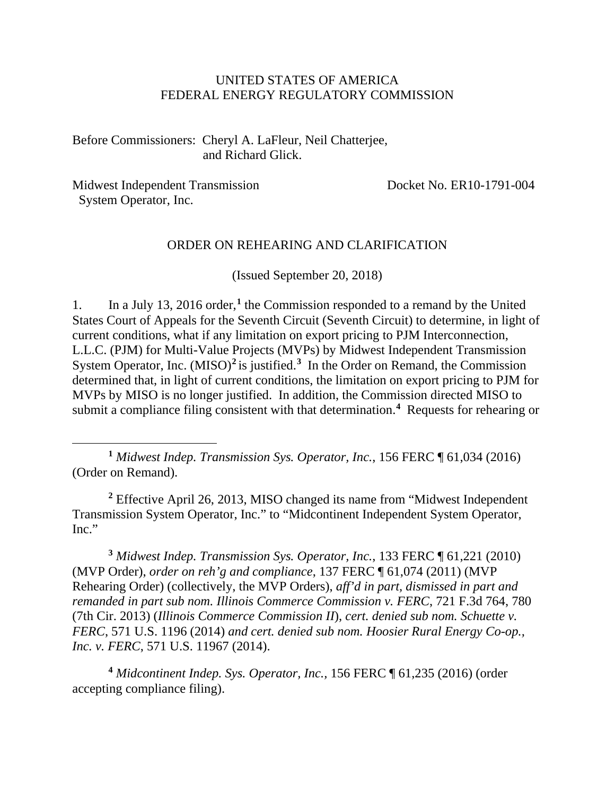### UNITED STATES OF AMERICA FEDERAL ENERGY REGULATORY COMMISSION

Before Commissioners: Cheryl A. LaFleur, Neil Chatterjee, and Richard Glick.

Midwest Independent Transmission System Operator, Inc.

 $\overline{a}$ 

Docket No. ER10-1791-004

#### ORDER ON REHEARING AND CLARIFICATION

(Issued September 20, 2018)

1. In a July 13, 2016 order,**[1](#page-0-0)** the Commission responded to a remand by the United States Court of Appeals for the Seventh Circuit (Seventh Circuit) to determine, in light of current conditions, what if any limitation on export pricing to PJM Interconnection, L.L.C. (PJM) for Multi-Value Projects (MVPs) by Midwest Independent Transmission System Operator, Inc. (MISO)<sup>[2](#page-0-1)</sup> is justified.<sup>[3](#page-0-2)</sup> In the Order on Remand, the Commission determined that, in light of current conditions, the limitation on export pricing to PJM for MVPs by MISO is no longer justified. In addition, the Commission directed MISO to submit a compliance filing consistent with that determination.<sup>[4](#page-0-3)</sup> Requests for rehearing or

<span id="page-0-0"></span>**<sup>1</sup>** *Midwest Indep. Transmission Sys. Operator, Inc.*, 156 FERC ¶ 61,034 (2016) (Order on Remand).

<span id="page-0-1"></span>**<sup>2</sup>** Effective April 26, 2013, MISO changed its name from "Midwest Independent Transmission System Operator, Inc." to "Midcontinent Independent System Operator, Inc."

<span id="page-0-2"></span>**<sup>3</sup>** *Midwest Indep. Transmission Sys. Operator, Inc.*, 133 FERC ¶ 61,221 (2010) (MVP Order), *order on reh'g and compliance*, 137 FERC ¶ 61,074 (2011) (MVP Rehearing Order) (collectively, the MVP Orders), *aff'd in part, dismissed in part and remanded in part sub nom. Illinois Commerce Commission v. FERC*, 721 F.3d 764, 780 (7th Cir. 2013) (*Illinois Commerce Commission II*), *cert. denied sub nom. Schuette v. FERC*, 571 U.S. 1196 (2014) *and cert. denied sub nom. Hoosier Rural Energy Co-op., Inc. v. FERC*, 571 U.S. 11967 (2014).

<span id="page-0-3"></span>**<sup>4</sup>** *Midcontinent Indep. Sys. Operator, Inc.,* 156 FERC ¶ 61,235 (2016) (order accepting compliance filing).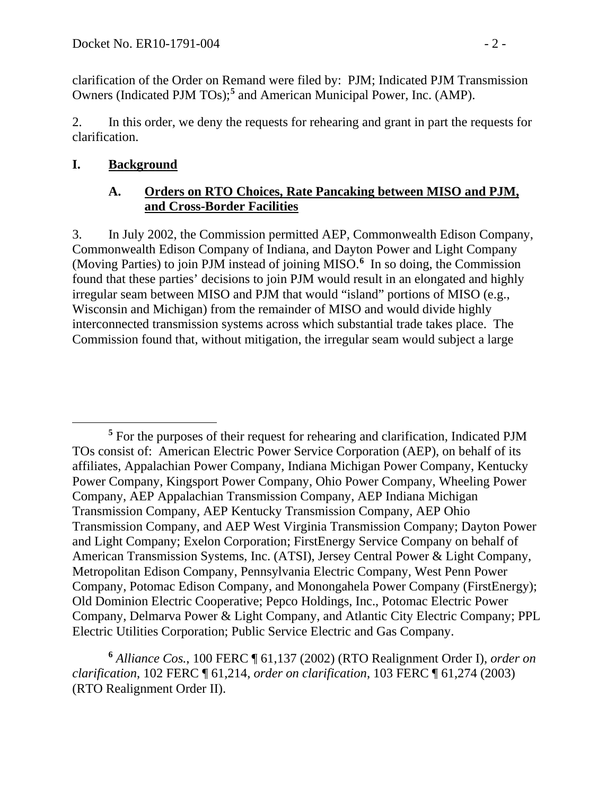clarification of the Order on Remand were filed by: PJM; Indicated PJM Transmission Owners (Indicated PJM TOs);**[5](#page-1-0)** and American Municipal Power, Inc. (AMP).

2. In this order, we deny the requests for rehearing and grant in part the requests for clarification.

## **I. Background**

## **A. Orders on RTO Choices, Rate Pancaking between MISO and PJM, and Cross-Border Facilities**

3. In July 2002, the Commission permitted AEP, Commonwealth Edison Company, Commonwealth Edison Company of Indiana, and Dayton Power and Light Company (Moving Parties) to join PJM instead of joining MISO. **[6](#page-1-1)** In so doing, the Commission found that these parties' decisions to join PJM would result in an elongated and highly irregular seam between MISO and PJM that would "island" portions of MISO (e.g., Wisconsin and Michigan) from the remainder of MISO and would divide highly interconnected transmission systems across which substantial trade takes place. The Commission found that, without mitigation, the irregular seam would subject a large

<span id="page-1-1"></span>**<sup>6</sup>** *Alliance Cos.*, 100 FERC ¶ 61,137 (2002) (RTO Realignment Order I), *order on clarification*, 102 FERC ¶ 61,214, *order on clarification*, 103 FERC ¶ 61,274 (2003) (RTO Realignment Order II).

<span id="page-1-0"></span> $\overline{a}$ **<sup>5</sup>** For the purposes of their request for rehearing and clarification, Indicated PJM TOs consist of: American Electric Power Service Corporation (AEP), on behalf of its affiliates, Appalachian Power Company, Indiana Michigan Power Company, Kentucky Power Company, Kingsport Power Company, Ohio Power Company, Wheeling Power Company, AEP Appalachian Transmission Company, AEP Indiana Michigan Transmission Company, AEP Kentucky Transmission Company, AEP Ohio Transmission Company, and AEP West Virginia Transmission Company; Dayton Power and Light Company; Exelon Corporation; FirstEnergy Service Company on behalf of American Transmission Systems, Inc. (ATSI), Jersey Central Power & Light Company, Metropolitan Edison Company, Pennsylvania Electric Company, West Penn Power Company, Potomac Edison Company, and Monongahela Power Company (FirstEnergy); Old Dominion Electric Cooperative; Pepco Holdings, Inc., Potomac Electric Power Company, Delmarva Power & Light Company, and Atlantic City Electric Company; PPL Electric Utilities Corporation; Public Service Electric and Gas Company.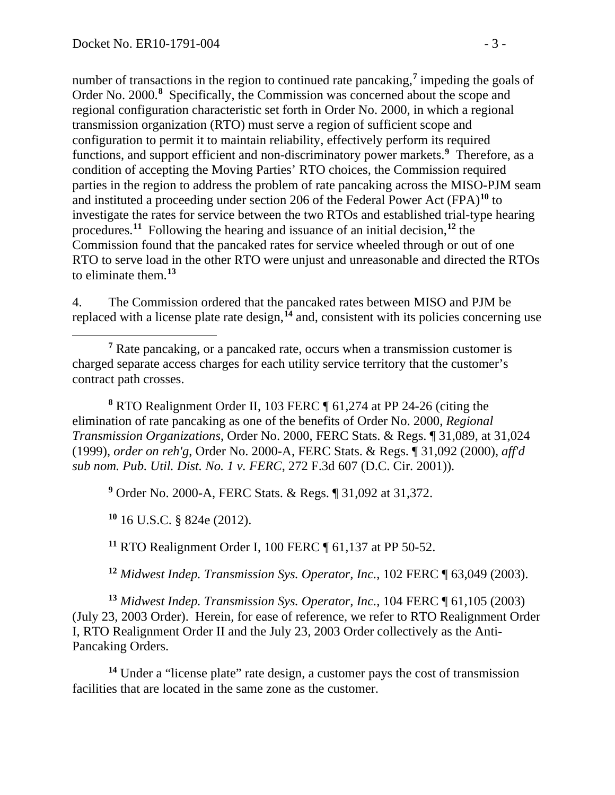number of transactions in the region to continued rate pancaking,**[7](#page-2-0)** impeding the goals of Order No. 2000.<sup>[8](#page-2-1)</sup> Specifically, the Commission was concerned about the scope and regional configuration characteristic set forth in Order No. 2000, in which a regional transmission organization (RTO) must serve a region of sufficient scope and configuration to permit it to maintain reliability, effectively perform its required functions, and support efficient and non-discriminatory power markets.**[9](#page-2-2)** Therefore, as a condition of accepting the Moving Parties' RTO choices, the Commission required parties in the region to address the problem of rate pancaking across the MISO-PJM seam and instituted a proceeding under section 206 of the Federal Power Act (FPA)**[10](#page-2-3)** to investigate the rates for service between the two RTOs and established trial-type hearing procedures.**[11](#page-2-4)** Following the hearing and issuance of an initial decision,**[12](#page-2-5)** the Commission found that the pancaked rates for service wheeled through or out of one RTO to serve load in the other RTO were unjust and unreasonable and directed the RTOs to eliminate them.**[13](#page-2-6)**

4. The Commission ordered that the pancaked rates between MISO and PJM be replaced with a license plate rate design,**[14](#page-2-7)** and, consistent with its policies concerning use

<span id="page-2-1"></span>**<sup>8</sup>** RTO Realignment Order II, 103 FERC ¶ 61,274 at PP 24-26 (citing the elimination of rate pancaking as one of the benefits of Order No. 2000, *Regional Transmission Organizations*, Order No. 2000, FERC Stats. & Regs. ¶ 31,089, at 31,024 (1999), *order on reh'g*, Order No. 2000-A, FERC Stats. & Regs. ¶ 31,092 (2000), *aff'd sub nom. Pub. Util. Dist. No. 1 v. FERC*, 272 F.3d 607 (D.C. Cir. 2001)).

<span id="page-2-2"></span>**<sup>9</sup>** Order No. 2000-A, FERC Stats. & Regs. ¶ 31,092 at 31,372.

<span id="page-2-3"></span>**<sup>10</sup>** 16 U.S.C. § 824e (2012).

**<sup>11</sup>** RTO Realignment Order I, 100 FERC ¶ 61,137 at PP 50-52.

**<sup>12</sup>** *Midwest Indep. Transmission Sys. Operator, Inc.*, 102 FERC ¶ 63,049 (2003).

<span id="page-2-6"></span><span id="page-2-5"></span><span id="page-2-4"></span>**<sup>13</sup>** *Midwest Indep. Transmission Sys. Operator, Inc.*, 104 FERC ¶ 61,105 (2003) (July 23, 2003 Order). Herein, for ease of reference, we refer to RTO Realignment Order I, RTO Realignment Order II and the July 23, 2003 Order collectively as the Anti-Pancaking Orders.

<span id="page-2-7"></span>**<sup>14</sup>** Under a "license plate" rate design, a customer pays the cost of transmission facilities that are located in the same zone as the customer.

<span id="page-2-0"></span>**<sup>7</sup>** Rate pancaking, or a pancaked rate, occurs when a transmission customer is charged separate access charges for each utility service territory that the customer's contract path crosses.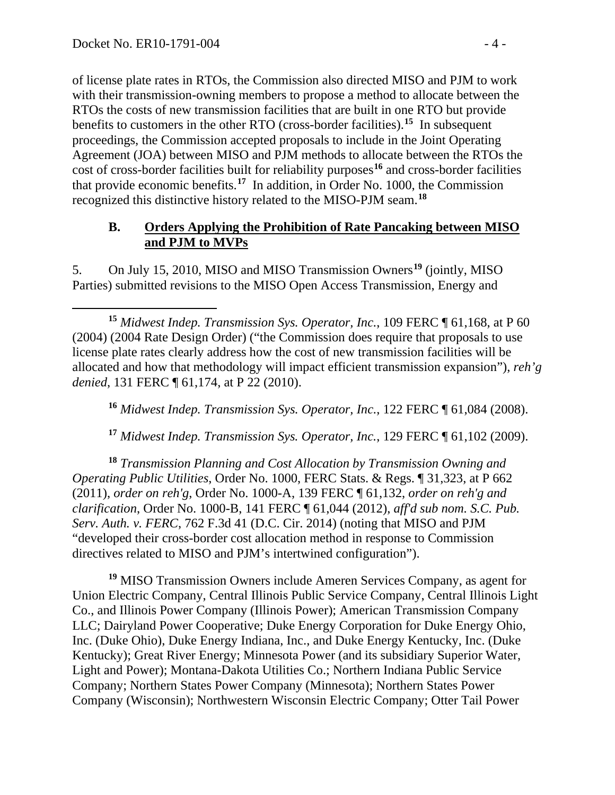of license plate rates in RTOs, the Commission also directed MISO and PJM to work with their transmission-owning members to propose a method to allocate between the RTOs the costs of new transmission facilities that are built in one RTO but provide benefits to customers in the other RTO (cross-border facilities).**[15](#page-3-0)** In subsequent proceedings, the Commission accepted proposals to include in the Joint Operating Agreement (JOA) between MISO and PJM methods to allocate between the RTOs the cost of cross-border facilities built for reliability purposes**[16](#page-3-1)** and cross-border facilities that provide economic benefits.**[17](#page-3-2)** In addition, in Order No. 1000, the Commission recognized this distinctive history related to the MISO-PJM seam.**[18](#page-3-3)**

### **B. Orders Applying the Prohibition of Rate Pancaking between MISO and PJM to MVPs**

5. On July 15, 2010, MISO and MISO Transmission Owners**[19](#page-3-4)** (jointly, MISO Parties) submitted revisions to the MISO Open Access Transmission, Energy and

**<sup>16</sup>** *Midwest Indep. Transmission Sys. Operator, Inc.*, 122 FERC ¶ 61,084 (2008).

**<sup>17</sup>** *Midwest Indep. Transmission Sys. Operator, Inc.*, 129 FERC ¶ 61,102 (2009).

<span id="page-3-3"></span><span id="page-3-2"></span><span id="page-3-1"></span>**<sup>18</sup>** *Transmission Planning and Cost Allocation by Transmission Owning and Operating Public Utilities*, Order No. 1000, FERC Stats. & Regs. ¶ 31,323, at P 662 (2011), *order on reh'g*, Order No. 1000-A, 139 FERC ¶ 61,132, *order on reh'g and clarification*, Order No. 1000-B, 141 FERC ¶ 61,044 (2012), *aff'd sub nom. S.C. Pub. Serv. Auth. v. FERC*, 762 F.3d 41 (D.C. Cir. 2014) (noting that MISO and PJM "developed their cross-border cost allocation method in response to Commission directives related to MISO and PJM's intertwined configuration").

<span id="page-3-4"></span>**<sup>19</sup>** MISO Transmission Owners include Ameren Services Company, as agent for Union Electric Company, Central Illinois Public Service Company, Central Illinois Light Co., and Illinois Power Company (Illinois Power); American Transmission Company LLC; Dairyland Power Cooperative; Duke Energy Corporation for Duke Energy Ohio, Inc. (Duke Ohio), Duke Energy Indiana, Inc., and Duke Energy Kentucky, Inc. (Duke Kentucky); Great River Energy; Minnesota Power (and its subsidiary Superior Water, Light and Power); Montana-Dakota Utilities Co.; Northern Indiana Public Service Company; Northern States Power Company (Minnesota); Northern States Power Company (Wisconsin); Northwestern Wisconsin Electric Company; Otter Tail Power

<span id="page-3-0"></span>**<sup>15</sup>** *Midwest Indep. Transmission Sys. Operator, Inc.*, 109 FERC ¶ 61,168, at P 60 (2004) (2004 Rate Design Order) ("the Commission does require that proposals to use license plate rates clearly address how the cost of new transmission facilities will be allocated and how that methodology will impact efficient transmission expansion"), *reh'g denied*, 131 FERC ¶ 61,174, at P 22 (2010).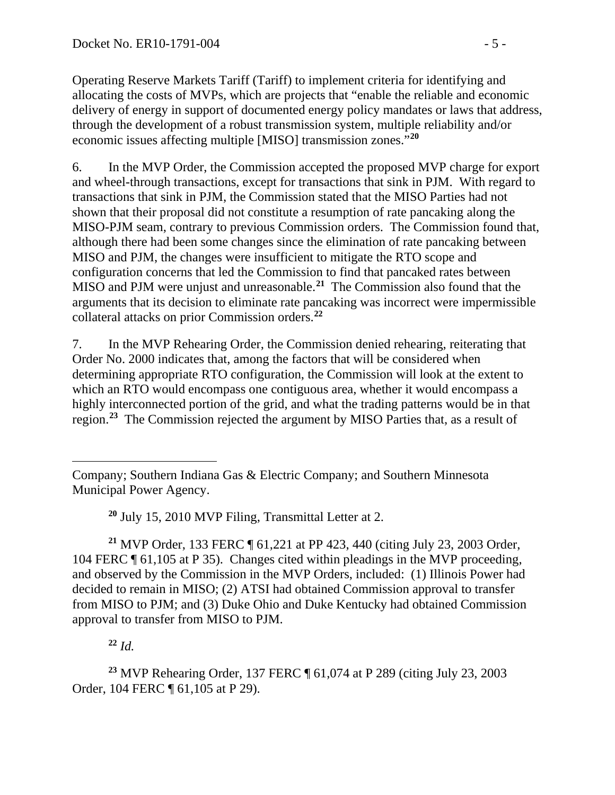Operating Reserve Markets Tariff (Tariff) to implement criteria for identifying and allocating the costs of MVPs, which are projects that "enable the reliable and economic delivery of energy in support of documented energy policy mandates or laws that address, through the development of a robust transmission system, multiple reliability and/or economic issues affecting multiple [MISO] transmission zones."**[20](#page-4-0)**

6. In the MVP Order, the Commission accepted the proposed MVP charge for export and wheel-through transactions, except for transactions that sink in PJM. With regard to transactions that sink in PJM, the Commission stated that the MISO Parties had not shown that their proposal did not constitute a resumption of rate pancaking along the MISO-PJM seam, contrary to previous Commission orders. The Commission found that, although there had been some changes since the elimination of rate pancaking between MISO and PJM, the changes were insufficient to mitigate the RTO scope and configuration concerns that led the Commission to find that pancaked rates between MISO and PJM were unjust and unreasonable.**[21](#page-4-1)** The Commission also found that the arguments that its decision to eliminate rate pancaking was incorrect were impermissible collateral attacks on prior Commission orders.**[22](#page-4-2)**

7. In the MVP Rehearing Order, the Commission denied rehearing, reiterating that Order No. 2000 indicates that, among the factors that will be considered when determining appropriate RTO configuration, the Commission will look at the extent to which an RTO would encompass one contiguous area, whether it would encompass a highly interconnected portion of the grid, and what the trading patterns would be in that region. **[23](#page-4-3)** The Commission rejected the argument by MISO Parties that, as a result of

**<sup>20</sup>** July 15, 2010 MVP Filing, Transmittal Letter at 2.

<span id="page-4-1"></span><span id="page-4-0"></span>**<sup>21</sup>** MVP Order, 133 FERC ¶ 61,221 at PP 423, 440 (citing July 23, 2003 Order, 104 FERC ¶ 61,105 at P 35). Changes cited within pleadings in the MVP proceeding, and observed by the Commission in the MVP Orders, included: (1) Illinois Power had decided to remain in MISO; (2) ATSI had obtained Commission approval to transfer from MISO to PJM; and (3) Duke Ohio and Duke Kentucky had obtained Commission approval to transfer from MISO to PJM.

**<sup>22</sup>** *Id.*

<span id="page-4-3"></span><span id="page-4-2"></span>**<sup>23</sup>** MVP Rehearing Order, 137 FERC ¶ 61,074 at P 289 (citing July 23, 2003 Order, 104 FERC ¶ 61,105 at P 29).

 $\overline{a}$ Company; Southern Indiana Gas & Electric Company; and Southern Minnesota Municipal Power Agency.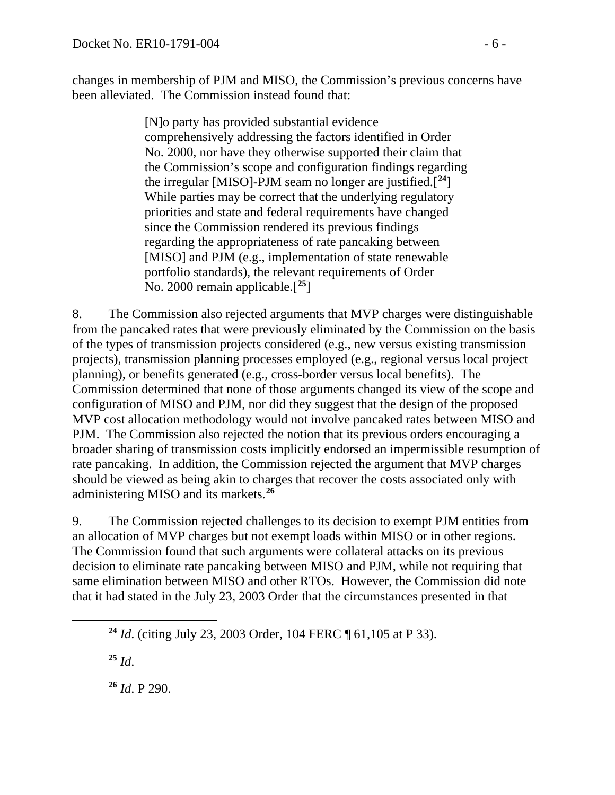changes in membership of PJM and MISO, the Commission's previous concerns have been alleviated. The Commission instead found that:

> [N]o party has provided substantial evidence comprehensively addressing the factors identified in Order No. 2000, nor have they otherwise supported their claim that the Commission's scope and configuration findings regarding the irregular [MISO]-PJM seam no longer are justified.[**[24](#page-5-0)**] While parties may be correct that the underlying regulatory priorities and state and federal requirements have changed since the Commission rendered its previous findings regarding the appropriateness of rate pancaking between [MISO] and PJM (e.g., implementation of state renewable portfolio standards), the relevant requirements of Order No. 2000 remain applicable.[**[25](#page-5-1)**]

8. The Commission also rejected arguments that MVP charges were distinguishable from the pancaked rates that were previously eliminated by the Commission on the basis of the types of transmission projects considered (e.g., new versus existing transmission projects), transmission planning processes employed (e.g., regional versus local project planning), or benefits generated (e.g., cross-border versus local benefits). The Commission determined that none of those arguments changed its view of the scope and configuration of MISO and PJM, nor did they suggest that the design of the proposed MVP cost allocation methodology would not involve pancaked rates between MISO and PJM. The Commission also rejected the notion that its previous orders encouraging a broader sharing of transmission costs implicitly endorsed an impermissible resumption of rate pancaking. In addition, the Commission rejected the argument that MVP charges should be viewed as being akin to charges that recover the costs associated only with administering MISO and its markets.**[26](#page-5-2)**

9. The Commission rejected challenges to its decision to exempt PJM entities from an allocation of MVP charges but not exempt loads within MISO or in other regions. The Commission found that such arguments were collateral attacks on its previous decision to eliminate rate pancaking between MISO and PJM, while not requiring that same elimination between MISO and other RTOs. However, the Commission did note that it had stated in the July 23, 2003 Order that the circumstances presented in that

 $^{25}$  *Id.* 

<span id="page-5-2"></span><span id="page-5-1"></span><span id="page-5-0"></span> $\overline{a}$ 

**<sup>26</sup>** *Id*. P 290.

**<sup>24</sup>** *Id*. (citing July 23, 2003 Order, 104 FERC ¶ 61,105 at P 33).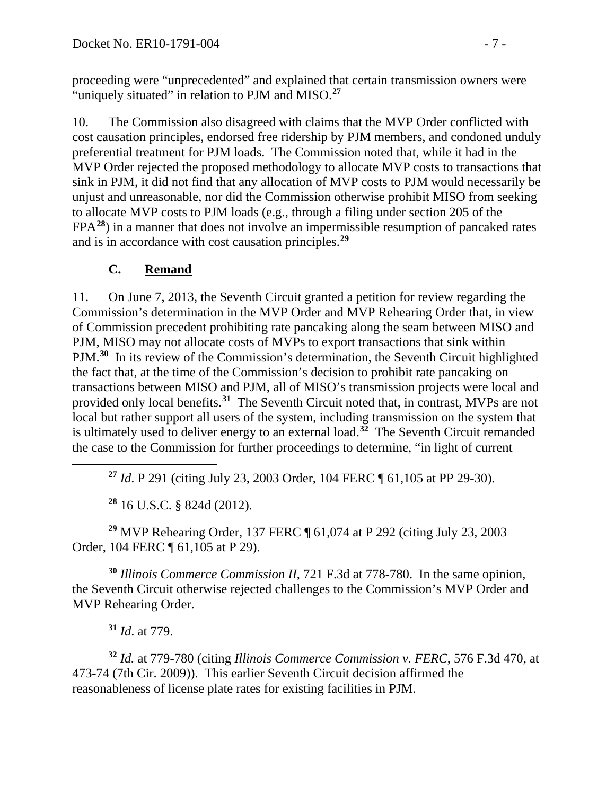proceeding were "unprecedented" and explained that certain transmission owners were "uniquely situated" in relation to PJM and MISO.**[27](#page-6-0)**

10. The Commission also disagreed with claims that the MVP Order conflicted with cost causation principles, endorsed free ridership by PJM members, and condoned unduly preferential treatment for PJM loads. The Commission noted that, while it had in the MVP Order rejected the proposed methodology to allocate MVP costs to transactions that sink in PJM, it did not find that any allocation of MVP costs to PJM would necessarily be unjust and unreasonable, nor did the Commission otherwise prohibit MISO from seeking to allocate MVP costs to PJM loads (e.g., through a filing under section 205 of the FPA**[28](#page-6-1)**) in a manner that does not involve an impermissible resumption of pancaked rates and is in accordance with cost causation principles.**[29](#page-6-2)**

# **C. Remand**

11. On June 7, 2013, the Seventh Circuit granted a petition for review regarding the Commission's determination in the MVP Order and MVP Rehearing Order that, in view of Commission precedent prohibiting rate pancaking along the seam between MISO and PJM, MISO may not allocate costs of MVPs to export transactions that sink within PJM.**[30](#page-6-3)** In its review of the Commission's determination, the Seventh Circuit highlighted the fact that, at the time of the Commission's decision to prohibit rate pancaking on transactions between MISO and PJM, all of MISO's transmission projects were local and provided only local benefits.**[31](#page-6-4)** The Seventh Circuit noted that, in contrast, MVPs are not local but rather support all users of the system, including transmission on the system that is ultimately used to deliver energy to an external load.<sup> $32$ </sup> The Seventh Circuit remanded the case to the Commission for further proceedings to determine, "in light of current

**<sup>27</sup>** *Id*. P 291 (citing July 23, 2003 Order, 104 FERC ¶ 61,105 at PP 29-30).

**<sup>28</sup>** 16 U.S.C. § 824d (2012).

<span id="page-6-2"></span><span id="page-6-1"></span>**<sup>29</sup>** MVP Rehearing Order, 137 FERC ¶ 61,074 at P 292 (citing July 23, 2003 Order, 104 FERC ¶ 61,105 at P 29).

<span id="page-6-3"></span>**<sup>30</sup>** *Illinois Commerce Commission II*, 721 F.3d at 778-780. In the same opinion, the Seventh Circuit otherwise rejected challenges to the Commission's MVP Order and MVP Rehearing Order.

**<sup>31</sup>** *Id*. at 779.

<span id="page-6-0"></span> $\overline{a}$ 

<span id="page-6-5"></span><span id="page-6-4"></span>**<sup>32</sup>** *Id.* at 779-780 (citing *Illinois Commerce Commission v. FERC*, 576 F.3d 470, at 473-74 (7th Cir. 2009)). This earlier Seventh Circuit decision affirmed the reasonableness of license plate rates for existing facilities in PJM.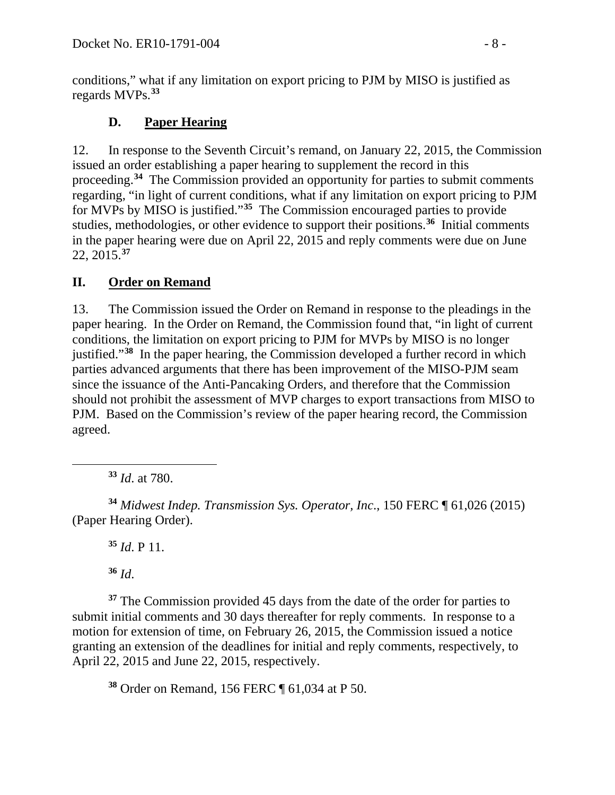conditions," what if any limitation on export pricing to PJM by MISO is justified as regards MVPs.**[33](#page-7-0)**

# **D. Paper Hearing**

12. In response to the Seventh Circuit's remand, on January 22, 2015, the Commission issued an order establishing a paper hearing to supplement the record in this proceeding.**[34](#page-7-1)** The Commission provided an opportunity for parties to submit comments regarding, "in light of current conditions, what if any limitation on export pricing to PJM for MVPs by MISO is justified."**[35](#page-7-2)** The Commission encouraged parties to provide studies, methodologies, or other evidence to support their positions.**[36](#page-7-3)** Initial comments in the paper hearing were due on April 22, 2015 and reply comments were due on June 22, 2015.**[37](#page-7-4)**

## **II. Order on Remand**

13. The Commission issued the Order on Remand in response to the pleadings in the paper hearing. In the Order on Remand, the Commission found that, "in light of current conditions, the limitation on export pricing to PJM for MVPs by MISO is no longer justified."**[38](#page-7-5)** In the paper hearing, the Commission developed a further record in which parties advanced arguments that there has been improvement of the MISO-PJM seam since the issuance of the Anti-Pancaking Orders, and therefore that the Commission should not prohibit the assessment of MVP charges to export transactions from MISO to PJM. Based on the Commission's review of the paper hearing record, the Commission agreed.

**<sup>33</sup>** *Id*. at 780.

<span id="page-7-2"></span><span id="page-7-1"></span>**<sup>34</sup>** *Midwest Indep. Transmission Sys. Operator, Inc*., 150 FERC ¶ 61,026 (2015) (Paper Hearing Order).

**<sup>35</sup>** *Id*. P 11.

**<sup>36</sup>** *Id*.

<span id="page-7-0"></span> $\overline{a}$ 

<span id="page-7-4"></span><span id="page-7-3"></span>**<sup>37</sup>** The Commission provided 45 days from the date of the order for parties to submit initial comments and 30 days thereafter for reply comments. In response to a motion for extension of time, on February 26, 2015, the Commission issued a notice granting an extension of the deadlines for initial and reply comments, respectively, to April 22, 2015 and June 22, 2015, respectively.

<span id="page-7-5"></span>**<sup>38</sup>** Order on Remand, 156 FERC ¶ 61,034 at P 50.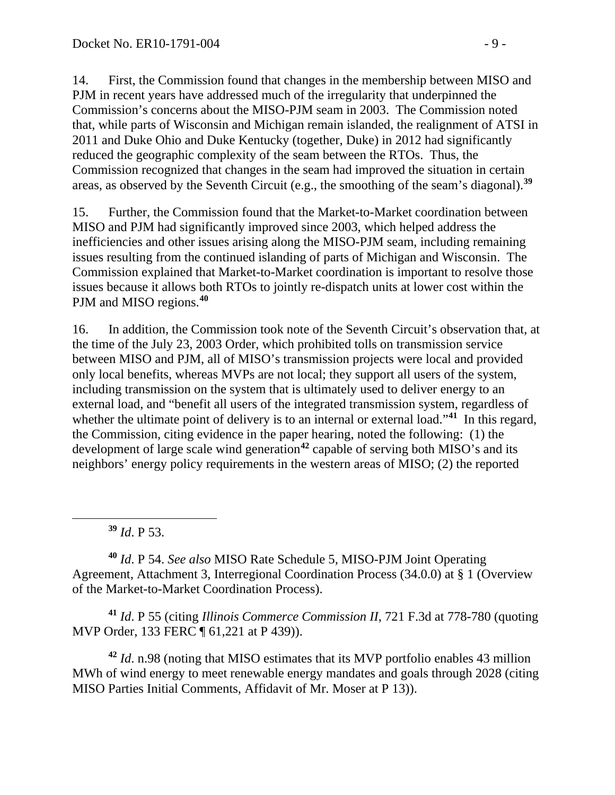14. First, the Commission found that changes in the membership between MISO and PJM in recent years have addressed much of the irregularity that underpinned the Commission's concerns about the MISO-PJM seam in 2003. The Commission noted that, while parts of Wisconsin and Michigan remain islanded, the realignment of ATSI in 2011 and Duke Ohio and Duke Kentucky (together, Duke) in 2012 had significantly reduced the geographic complexity of the seam between the RTOs. Thus, the Commission recognized that changes in the seam had improved the situation in certain areas, as observed by the Seventh Circuit (e.g., the smoothing of the seam's diagonal).**[39](#page-8-0)**

15. Further, the Commission found that the Market-to-Market coordination between MISO and PJM had significantly improved since 2003, which helped address the inefficiencies and other issues arising along the MISO-PJM seam, including remaining issues resulting from the continued islanding of parts of Michigan and Wisconsin. The Commission explained that Market-to-Market coordination is important to resolve those issues because it allows both RTOs to jointly re-dispatch units at lower cost within the PJM and MISO regions.**[40](#page-8-1)**

16. In addition, the Commission took note of the Seventh Circuit's observation that, at the time of the July 23, 2003 Order, which prohibited tolls on transmission service between MISO and PJM, all of MISO's transmission projects were local and provided only local benefits, whereas MVPs are not local; they support all users of the system, including transmission on the system that is ultimately used to deliver energy to an external load, and "benefit all users of the integrated transmission system, regardless of whether the ultimate point of delivery is to an internal or external load."<sup>[41](#page-8-2)</sup> In this regard, the Commission, citing evidence in the paper hearing, noted the following: (1) the development of large scale wind generation**[42](#page-8-3)** capable of serving both MISO's and its neighbors' energy policy requirements in the western areas of MISO; (2) the reported

**<sup>39</sup>** *Id*. P 53.

<span id="page-8-0"></span> $\overline{a}$ 

<span id="page-8-1"></span>**<sup>40</sup>** *Id*. P 54. *See also* MISO Rate Schedule 5, MISO-PJM Joint Operating Agreement, Attachment 3, Interregional Coordination Process (34.0.0) at § 1 (Overview of the Market-to-Market Coordination Process).

<span id="page-8-2"></span>**<sup>41</sup>** *Id*. P 55 (citing *Illinois Commerce Commission II*, 721 F.3d at 778-780 (quoting MVP Order, 133 FERC ¶ 61,221 at P 439)).

<span id="page-8-3"></span>**<sup>42</sup>** *Id*. n.98 (noting that MISO estimates that its MVP portfolio enables 43 million MWh of wind energy to meet renewable energy mandates and goals through 2028 (citing MISO Parties Initial Comments, Affidavit of Mr. Moser at P 13)).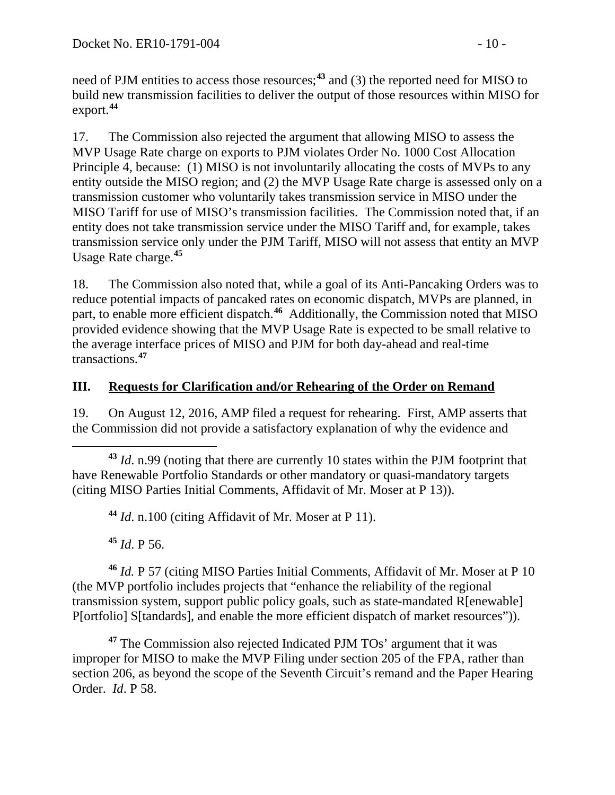need of PJM entities to access those resources;**[43](#page-9-0)** and (3) the reported need for MISO to build new transmission facilities to deliver the output of those resources within MISO for export.**[44](#page-9-1)**

17. The Commission also rejected the argument that allowing MISO to assess the MVP Usage Rate charge on exports to PJM violates Order No. 1000 Cost Allocation Principle 4, because: (1) MISO is not involuntarily allocating the costs of MVPs to any entity outside the MISO region; and (2) the MVP Usage Rate charge is assessed only on a transmission customer who voluntarily takes transmission service in MISO under the MISO Tariff for use of MISO's transmission facilities. The Commission noted that, if an entity does not take transmission service under the MISO Tariff and, for example, takes transmission service only under the PJM Tariff, MISO will not assess that entity an MVP Usage Rate charge.**[45](#page-9-2)**

18. The Commission also noted that, while a goal of its Anti-Pancaking Orders was to reduce potential impacts of pancaked rates on economic dispatch, MVPs are planned, in part, to enable more efficient dispatch.<sup>[46](#page-9-3)</sup> Additionally, the Commission noted that MISO provided evidence showing that the MVP Usage Rate is expected to be small relative to the average interface prices of MISO and PJM for both day-ahead and real-time transactions.**[47](#page-9-4)**

# **III. Requests for Clarification and/or Rehearing of the Order on Remand**

19. On August 12, 2016, AMP filed a request for rehearing. First, AMP asserts that the Commission did not provide a satisfactory explanation of why the evidence and

<span id="page-9-0"></span> $\overline{a}$ **<sup>43</sup>** *Id*. n.99 (noting that there are currently 10 states within the PJM footprint that have Renewable Portfolio Standards or other mandatory or quasi-mandatory targets (citing MISO Parties Initial Comments, Affidavit of Mr. Moser at P 13)).

**<sup>44</sup>** *Id*. n.100 (citing Affidavit of Mr. Moser at P 11).

**<sup>45</sup>** *Id*. P 56.

<span id="page-9-3"></span><span id="page-9-2"></span><span id="page-9-1"></span>**<sup>46</sup>** *Id.* P 57 (citing MISO Parties Initial Comments, Affidavit of Mr. Moser at P 10 (the MVP portfolio includes projects that "enhance the reliability of the regional transmission system, support public policy goals, such as state-mandated R[enewable] P[ortfolio] S[tandards], and enable the more efficient dispatch of market resources")).

<span id="page-9-4"></span>**<sup>47</sup>** The Commission also rejected Indicated PJM TOs' argument that it was improper for MISO to make the MVP Filing under section 205 of the FPA, rather than section 206, as beyond the scope of the Seventh Circuit's remand and the Paper Hearing Order. *Id*. P 58.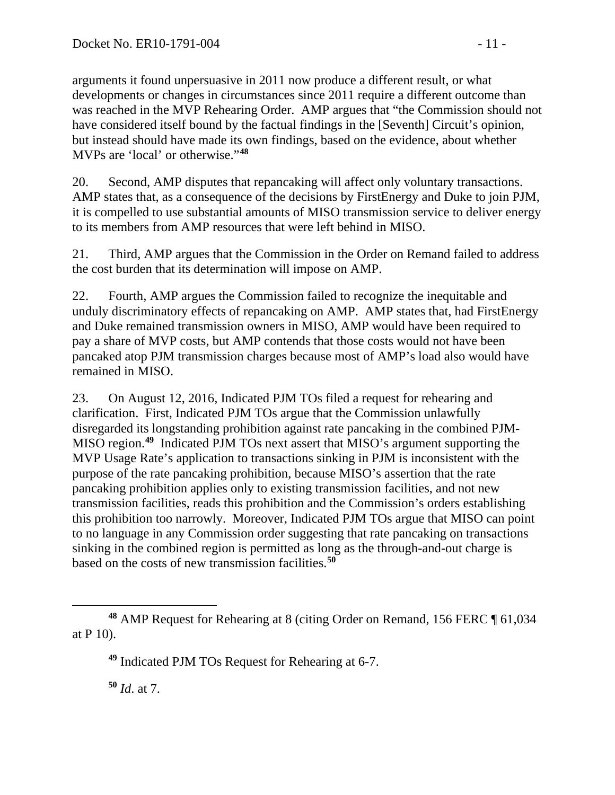arguments it found unpersuasive in 2011 now produce a different result, or what developments or changes in circumstances since 2011 require a different outcome than was reached in the MVP Rehearing Order. AMP argues that "the Commission should not have considered itself bound by the factual findings in the [Seventh] Circuit's opinion, but instead should have made its own findings, based on the evidence, about whether MVPs are 'local' or otherwise."**[48](#page-10-0)**

20. Second, AMP disputes that repancaking will affect only voluntary transactions. AMP states that, as a consequence of the decisions by FirstEnergy and Duke to join PJM, it is compelled to use substantial amounts of MISO transmission service to deliver energy to its members from AMP resources that were left behind in MISO.

21. Third, AMP argues that the Commission in the Order on Remand failed to address the cost burden that its determination will impose on AMP.

22. Fourth, AMP argues the Commission failed to recognize the inequitable and unduly discriminatory effects of repancaking on AMP. AMP states that, had FirstEnergy and Duke remained transmission owners in MISO, AMP would have been required to pay a share of MVP costs, but AMP contends that those costs would not have been pancaked atop PJM transmission charges because most of AMP's load also would have remained in MISO.

23. On August 12, 2016, Indicated PJM TOs filed a request for rehearing and clarification. First, Indicated PJM TOs argue that the Commission unlawfully disregarded its longstanding prohibition against rate pancaking in the combined PJM-MISO region.**[49](#page-10-1)** Indicated PJM TOs next assert that MISO's argument supporting the MVP Usage Rate's application to transactions sinking in PJM is inconsistent with the purpose of the rate pancaking prohibition, because MISO's assertion that the rate pancaking prohibition applies only to existing transmission facilities, and not new transmission facilities, reads this prohibition and the Commission's orders establishing this prohibition too narrowly. Moreover, Indicated PJM TOs argue that MISO can point to no language in any Commission order suggesting that rate pancaking on transactions sinking in the combined region is permitted as long as the through-and-out charge is based on the costs of new transmission facilities.**[50](#page-10-2)**

<span id="page-10-2"></span>**<sup>50</sup>** *Id*. at 7.

<span id="page-10-1"></span><span id="page-10-0"></span> $\overline{a}$ **<sup>48</sup>** AMP Request for Rehearing at 8 (citing Order on Remand, 156 FERC ¶ 61,034 at P 10).

**<sup>49</sup>** Indicated PJM TOs Request for Rehearing at 6-7.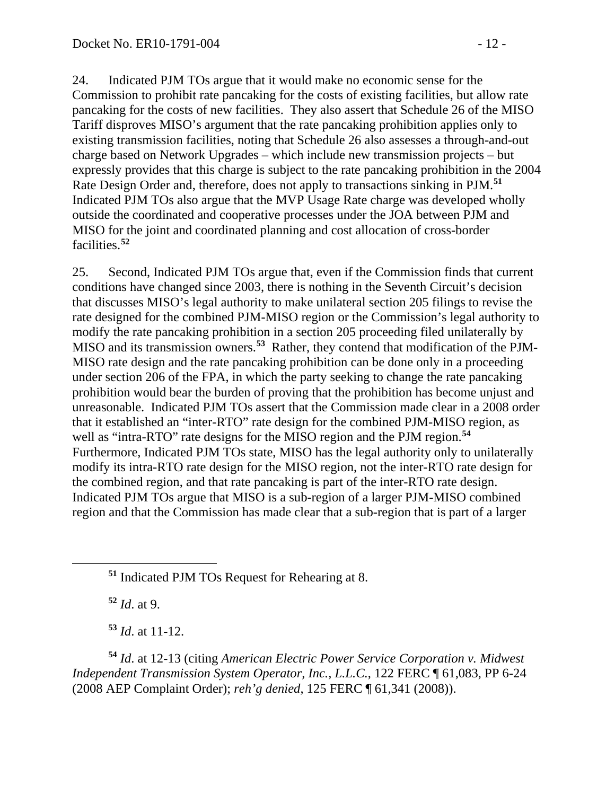24. Indicated PJM TOs argue that it would make no economic sense for the Commission to prohibit rate pancaking for the costs of existing facilities, but allow rate pancaking for the costs of new facilities. They also assert that Schedule 26 of the MISO Tariff disproves MISO's argument that the rate pancaking prohibition applies only to existing transmission facilities, noting that Schedule 26 also assesses a through-and-out charge based on Network Upgrades – which include new transmission projects – but expressly provides that this charge is subject to the rate pancaking prohibition in the 2004 Rate Design Order and, therefore, does not apply to transactions sinking in PJM.**[51](#page-11-0)** Indicated PJM TOs also argue that the MVP Usage Rate charge was developed wholly outside the coordinated and cooperative processes under the JOA between PJM and MISO for the joint and coordinated planning and cost allocation of cross-border facilities.**[52](#page-11-1)**

25. Second, Indicated PJM TOs argue that, even if the Commission finds that current conditions have changed since 2003, there is nothing in the Seventh Circuit's decision that discusses MISO's legal authority to make unilateral section 205 filings to revise the rate designed for the combined PJM-MISO region or the Commission's legal authority to modify the rate pancaking prohibition in a section 205 proceeding filed unilaterally by MISO and its transmission owners.**[53](#page-11-2)** Rather, they contend that modification of the PJM-MISO rate design and the rate pancaking prohibition can be done only in a proceeding under section 206 of the FPA, in which the party seeking to change the rate pancaking prohibition would bear the burden of proving that the prohibition has become unjust and unreasonable. Indicated PJM TOs assert that the Commission made clear in a 2008 order that it established an "inter-RTO" rate design for the combined PJM-MISO region, as well as "intra-RTO" rate designs for the MISO region and the PJM region. **[54](#page-11-3)** Furthermore, Indicated PJM TOs state, MISO has the legal authority only to unilaterally modify its intra-RTO rate design for the MISO region, not the inter-RTO rate design for the combined region, and that rate pancaking is part of the inter-RTO rate design. Indicated PJM TOs argue that MISO is a sub-region of a larger PJM-MISO combined region and that the Commission has made clear that a sub-region that is part of a larger

**<sup>52</sup>** *Id*. at 9.

<span id="page-11-1"></span><span id="page-11-0"></span> $\overline{a}$ 

**<sup>53</sup>** *Id*. at 11-12.

<span id="page-11-3"></span><span id="page-11-2"></span>**<sup>54</sup>** *Id*. at 12-13 (citing *American Electric Power Service Corporation v. Midwest Independent Transmission System Operator, Inc., L.L.C.*, 122 FERC ¶ 61,083, PP 6-24 (2008 AEP Complaint Order); *reh'g denied*, 125 FERC ¶ 61,341 (2008)).

**<sup>51</sup>** Indicated PJM TOs Request for Rehearing at 8.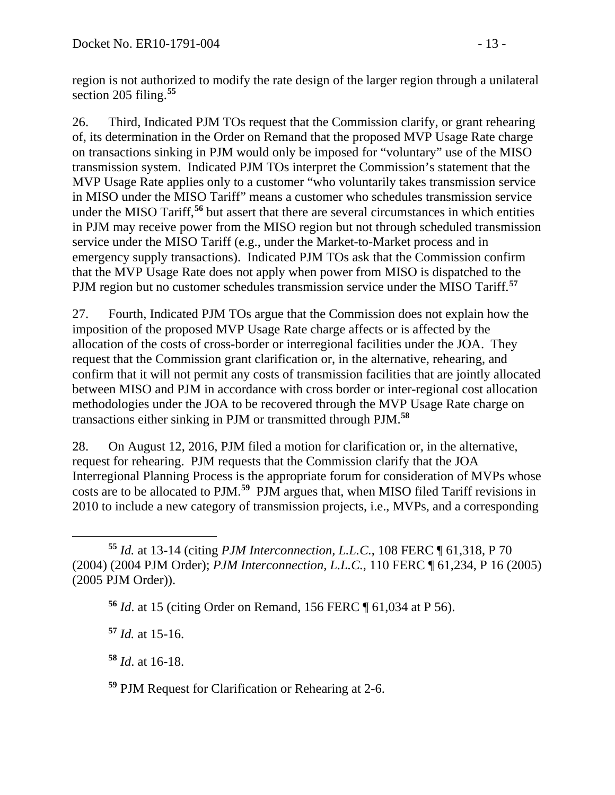region is not authorized to modify the rate design of the larger region through a unilateral section 205 filing.**[55](#page-12-0)**

26. Third, Indicated PJM TOs request that the Commission clarify, or grant rehearing of, its determination in the Order on Remand that the proposed MVP Usage Rate charge on transactions sinking in PJM would only be imposed for "voluntary" use of the MISO transmission system. Indicated PJM TOs interpret the Commission's statement that the MVP Usage Rate applies only to a customer "who voluntarily takes transmission service in MISO under the MISO Tariff" means a customer who schedules transmission service under the MISO Tariff, **[56](#page-12-1)** but assert that there are several circumstances in which entities in PJM may receive power from the MISO region but not through scheduled transmission service under the MISO Tariff (e.g., under the Market-to-Market process and in emergency supply transactions). Indicated PJM TOs ask that the Commission confirm that the MVP Usage Rate does not apply when power from MISO is dispatched to the PJM region but no customer schedules transmission service under the MISO Tariff.**[57](#page-12-2)**

27. Fourth, Indicated PJM TOs argue that the Commission does not explain how the imposition of the proposed MVP Usage Rate charge affects or is affected by the allocation of the costs of cross-border or interregional facilities under the JOA. They request that the Commission grant clarification or, in the alternative, rehearing, and confirm that it will not permit any costs of transmission facilities that are jointly allocated between MISO and PJM in accordance with cross border or inter-regional cost allocation methodologies under the JOA to be recovered through the MVP Usage Rate charge on transactions either sinking in PJM or transmitted through PJM.**[58](#page-12-3)**

28. On August 12, 2016, PJM filed a motion for clarification or, in the alternative, request for rehearing. PJM requests that the Commission clarify that the JOA Interregional Planning Process is the appropriate forum for consideration of MVPs whose costs are to be allocated to PJM.**[59](#page-12-4)** PJM argues that, when MISO filed Tariff revisions in 2010 to include a new category of transmission projects, i.e., MVPs, and a corresponding

<span id="page-12-2"></span>**<sup>57</sup>** *Id.* at 15-16.

<span id="page-12-3"></span>**<sup>58</sup>** *Id*. at 16-18.

<span id="page-12-1"></span><span id="page-12-0"></span> $\overline{a}$ **<sup>55</sup>** *Id.* at 13-14 (citing *PJM Interconnection, L.L.C.*, 108 FERC ¶ 61,318, P 70 (2004) (2004 PJM Order); *PJM Interconnection, L.L.C.*, 110 FERC ¶ 61,234, P 16 (2005) (2005 PJM Order)).

**<sup>56</sup>** *Id*. at 15 (citing Order on Remand, 156 FERC ¶ 61,034 at P 56).

<span id="page-12-4"></span>**<sup>59</sup>** PJM Request for Clarification or Rehearing at 2-6.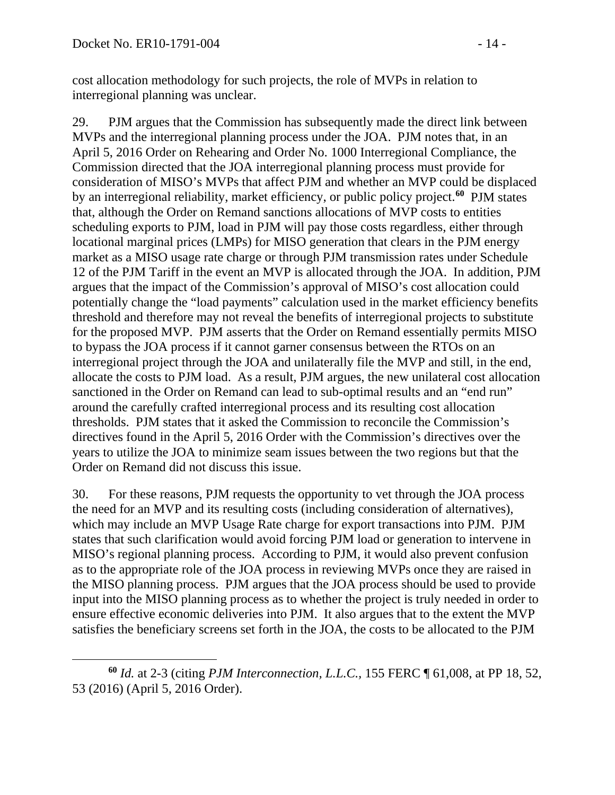cost allocation methodology for such projects, the role of MVPs in relation to interregional planning was unclear.

29. PJM argues that the Commission has subsequently made the direct link between MVPs and the interregional planning process under the JOA. PJM notes that, in an April 5, 2016 Order on Rehearing and Order No. 1000 Interregional Compliance, the Commission directed that the JOA interregional planning process must provide for consideration of MISO's MVPs that affect PJM and whether an MVP could be displaced by an interregional reliability, market efficiency, or public policy project.**[60](#page-13-0)** PJM states that, although the Order on Remand sanctions allocations of MVP costs to entities scheduling exports to PJM, load in PJM will pay those costs regardless, either through locational marginal prices (LMPs) for MISO generation that clears in the PJM energy market as a MISO usage rate charge or through PJM transmission rates under Schedule 12 of the PJM Tariff in the event an MVP is allocated through the JOA. In addition, PJM argues that the impact of the Commission's approval of MISO's cost allocation could potentially change the "load payments" calculation used in the market efficiency benefits threshold and therefore may not reveal the benefits of interregional projects to substitute for the proposed MVP. PJM asserts that the Order on Remand essentially permits MISO to bypass the JOA process if it cannot garner consensus between the RTOs on an interregional project through the JOA and unilaterally file the MVP and still, in the end, allocate the costs to PJM load. As a result, PJM argues, the new unilateral cost allocation sanctioned in the Order on Remand can lead to sub-optimal results and an "end run" around the carefully crafted interregional process and its resulting cost allocation thresholds. PJM states that it asked the Commission to reconcile the Commission's directives found in the April 5, 2016 Order with the Commission's directives over the years to utilize the JOA to minimize seam issues between the two regions but that the Order on Remand did not discuss this issue.

30. For these reasons, PJM requests the opportunity to vet through the JOA process the need for an MVP and its resulting costs (including consideration of alternatives), which may include an MVP Usage Rate charge for export transactions into PJM. PJM states that such clarification would avoid forcing PJM load or generation to intervene in MISO's regional planning process. According to PJM, it would also prevent confusion as to the appropriate role of the JOA process in reviewing MVPs once they are raised in the MISO planning process. PJM argues that the JOA process should be used to provide input into the MISO planning process as to whether the project is truly needed in order to ensure effective economic deliveries into PJM. It also argues that to the extent the MVP satisfies the beneficiary screens set forth in the JOA, the costs to be allocated to the PJM

<span id="page-13-0"></span> $\overline{a}$ **<sup>60</sup>** *Id.* at 2-3 (citing *PJM Interconnection, L.L.C.,* 155 FERC ¶ 61,008, at PP 18, 52, 53 (2016) (April 5, 2016 Order).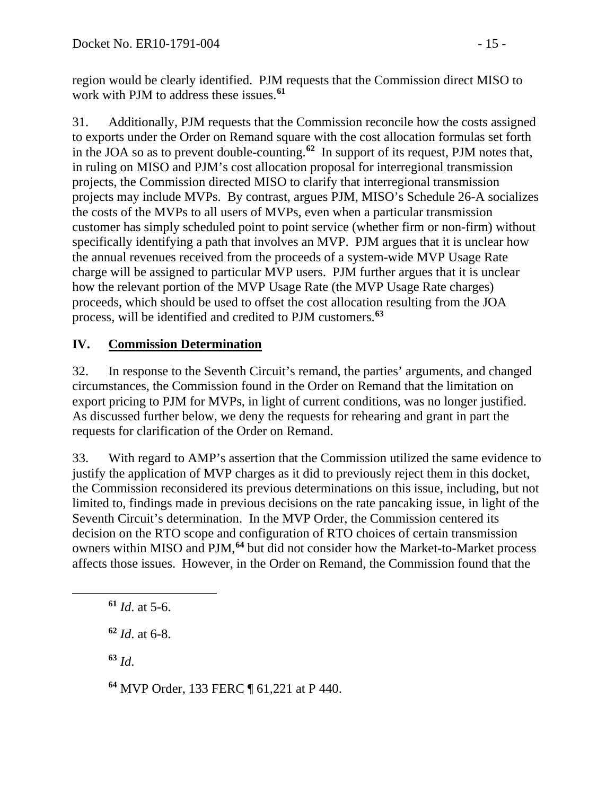region would be clearly identified. PJM requests that the Commission direct MISO to work with PJM to address these issues.**[61](#page-14-0)**

31. Additionally, PJM requests that the Commission reconcile how the costs assigned to exports under the Order on Remand square with the cost allocation formulas set forth in the JOA so as to prevent double-counting.**[62](#page-14-1)** In support of its request, PJM notes that, in ruling on MISO and PJM's cost allocation proposal for interregional transmission projects, the Commission directed MISO to clarify that interregional transmission projects may include MVPs. By contrast, argues PJM, MISO's Schedule 26-A socializes the costs of the MVPs to all users of MVPs, even when a particular transmission customer has simply scheduled point to point service (whether firm or non-firm) without specifically identifying a path that involves an MVP. PJM argues that it is unclear how the annual revenues received from the proceeds of a system-wide MVP Usage Rate charge will be assigned to particular MVP users. PJM further argues that it is unclear how the relevant portion of the MVP Usage Rate (the MVP Usage Rate charges) proceeds, which should be used to offset the cost allocation resulting from the JOA process, will be identified and credited to PJM customers.**[63](#page-14-2)**

# **IV. Commission Determination**

32. In response to the Seventh Circuit's remand, the parties' arguments, and changed circumstances, the Commission found in the Order on Remand that the limitation on export pricing to PJM for MVPs, in light of current conditions, was no longer justified. As discussed further below, we deny the requests for rehearing and grant in part the requests for clarification of the Order on Remand.

33. With regard to AMP's assertion that the Commission utilized the same evidence to justify the application of MVP charges as it did to previously reject them in this docket, the Commission reconsidered its previous determinations on this issue, including, but not limited to, findings made in previous decisions on the rate pancaking issue, in light of the Seventh Circuit's determination. In the MVP Order, the Commission centered its decision on the RTO scope and configuration of RTO choices of certain transmission owners within MISO and PJM,**[64](#page-14-3)** but did not consider how the Market-to-Market process affects those issues. However, in the Order on Remand, the Commission found that the

**<sup>61</sup>** *Id*. at 5-6.

**<sup>62</sup>** *Id*. at 6-8.

**<sup>63</sup>** *Id*.

<span id="page-14-2"></span><span id="page-14-1"></span><span id="page-14-0"></span> $\overline{a}$ 

<span id="page-14-3"></span>**<sup>64</sup>** MVP Order, 133 FERC ¶ 61,221 at P 440.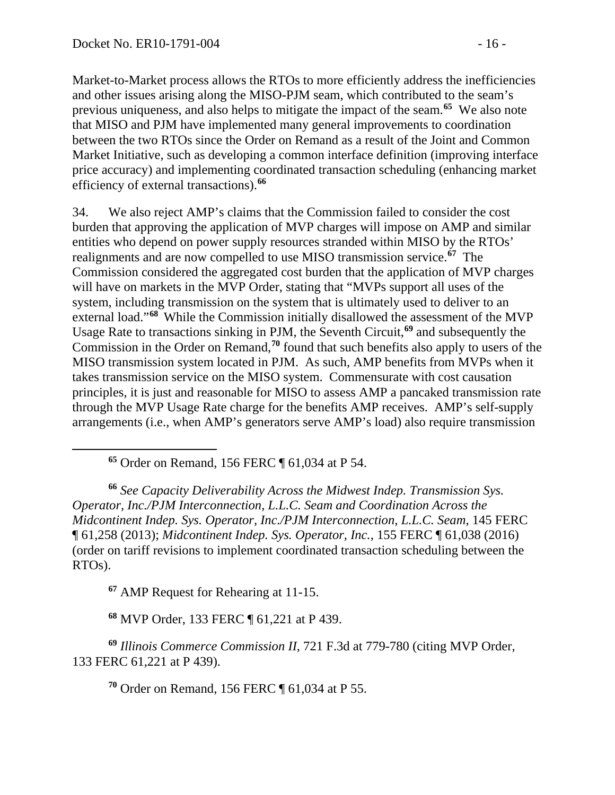Market-to-Market process allows the RTOs to more efficiently address the inefficiencies and other issues arising along the MISO-PJM seam, which contributed to the seam's previous uniqueness, and also helps to mitigate the impact of the seam.**[65](#page-15-0)** We also note that MISO and PJM have implemented many general improvements to coordination between the two RTOs since the Order on Remand as a result of the Joint and Common Market Initiative, such as developing a common interface definition (improving interface price accuracy) and implementing coordinated transaction scheduling (enhancing market efficiency of external transactions). **[66](#page-15-1)**

34. We also reject AMP's claims that the Commission failed to consider the cost burden that approving the application of MVP charges will impose on AMP and similar entities who depend on power supply resources stranded within MISO by the RTOs' realignments and are now compelled to use MISO transmission service.**[67](#page-15-2)** The Commission considered the aggregated cost burden that the application of MVP charges will have on markets in the MVP Order, stating that "MVPs support all uses of the system, including transmission on the system that is ultimately used to deliver to an external load."**[68](#page-15-3)** While the Commission initially disallowed the assessment of the MVP Usage Rate to transactions sinking in PJM, the Seventh Circuit,**[69](#page-15-4)** and subsequently the Commission in the Order on Remand,**[70](#page-15-5)** found that such benefits also apply to users of the MISO transmission system located in PJM. As such, AMP benefits from MVPs when it takes transmission service on the MISO system. Commensurate with cost causation principles, it is just and reasonable for MISO to assess AMP a pancaked transmission rate through the MVP Usage Rate charge for the benefits AMP receives. AMP's self-supply arrangements (i.e., when AMP's generators serve AMP's load) also require transmission

**<sup>65</sup>** Order on Remand, 156 FERC ¶ 61,034 at P 54.

<span id="page-15-1"></span><span id="page-15-0"></span>**<sup>66</sup>** *See Capacity Deliverability Across the Midwest Indep. Transmission Sys. Operator, Inc./PJM Interconnection, L.L.C. Seam and Coordination Across the Midcontinent Indep. Sys. Operator, Inc./PJM Interconnection, L.L.C. Seam*, 145 FERC ¶ 61,258 (2013); *Midcontinent Indep. Sys. Operator, Inc.*, 155 FERC ¶ 61,038 (2016) (order on tariff revisions to implement coordinated transaction scheduling between the RTOs).

**<sup>67</sup>** AMP Request for Rehearing at 11-15.

**<sup>68</sup>** MVP Order, 133 FERC ¶ 61,221 at P 439.

<span id="page-15-5"></span><span id="page-15-4"></span><span id="page-15-3"></span><span id="page-15-2"></span>**<sup>69</sup>** *Illinois Commerce Commission II*, 721 F.3d at 779-780 (citing MVP Order*,*  133 FERC 61,221 at P 439).

**<sup>70</sup>** Order on Remand, 156 FERC ¶ 61,034 at P 55.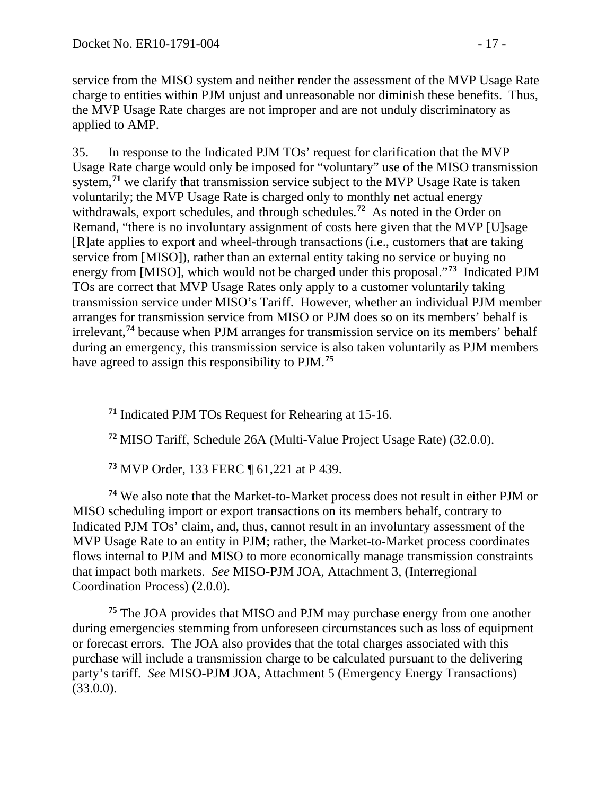service from the MISO system and neither render the assessment of the MVP Usage Rate charge to entities within PJM unjust and unreasonable nor diminish these benefits. Thus, the MVP Usage Rate charges are not improper and are not unduly discriminatory as applied to AMP.

35. In response to the Indicated PJM TOs' request for clarification that the MVP Usage Rate charge would only be imposed for "voluntary" use of the MISO transmission system, **[71](#page-16-0)** we clarify that transmission service subject to the MVP Usage Rate is taken voluntarily; the MVP Usage Rate is charged only to monthly net actual energy withdrawals, export schedules, and through schedules. **[72](#page-16-1)** As noted in the Order on Remand, "there is no involuntary assignment of costs here given that the MVP [U]sage [R]ate applies to export and wheel-through transactions (i.e., customers that are taking service from [MISO]), rather than an external entity taking no service or buying no energy from [MISO], which would not be charged under this proposal."**[73](#page-16-2)** Indicated PJM TOs are correct that MVP Usage Rates only apply to a customer voluntarily taking transmission service under MISO's Tariff. However, whether an individual PJM member arranges for transmission service from MISO or PJM does so on its members' behalf is irrelevant, **[74](#page-16-3)** because when PJM arranges for transmission service on its members' behalf during an emergency, this transmission service is also taken voluntarily as PJM members have agreed to assign this responsibility to PJM.**[75](#page-16-4)**

<span id="page-16-0"></span>**<sup>71</sup>** Indicated PJM TOs Request for Rehearing at 15-16.

**<sup>72</sup>** MISO Tariff, Schedule 26A (Multi-Value Project Usage Rate) (32.0.0).

**<sup>73</sup>** MVP Order, 133 FERC ¶ 61,221 at P 439.

<span id="page-16-3"></span><span id="page-16-2"></span><span id="page-16-1"></span>**<sup>74</sup>** We also note that the Market-to-Market process does not result in either PJM or MISO scheduling import or export transactions on its members behalf, contrary to Indicated PJM TOs' claim, and, thus, cannot result in an involuntary assessment of the MVP Usage Rate to an entity in PJM; rather, the Market-to-Market process coordinates flows internal to PJM and MISO to more economically manage transmission constraints that impact both markets. *See* MISO-PJM JOA, Attachment 3, (Interregional Coordination Process) (2.0.0).

<span id="page-16-4"></span>**<sup>75</sup>** The JOA provides that MISO and PJM may purchase energy from one another during emergencies stemming from unforeseen circumstances such as loss of equipment or forecast errors. The JOA also provides that the total charges associated with this purchase will include a transmission charge to be calculated pursuant to the delivering party's tariff. *See* MISO-PJM JOA, Attachment 5 (Emergency Energy Transactions)  $(33.0.0).$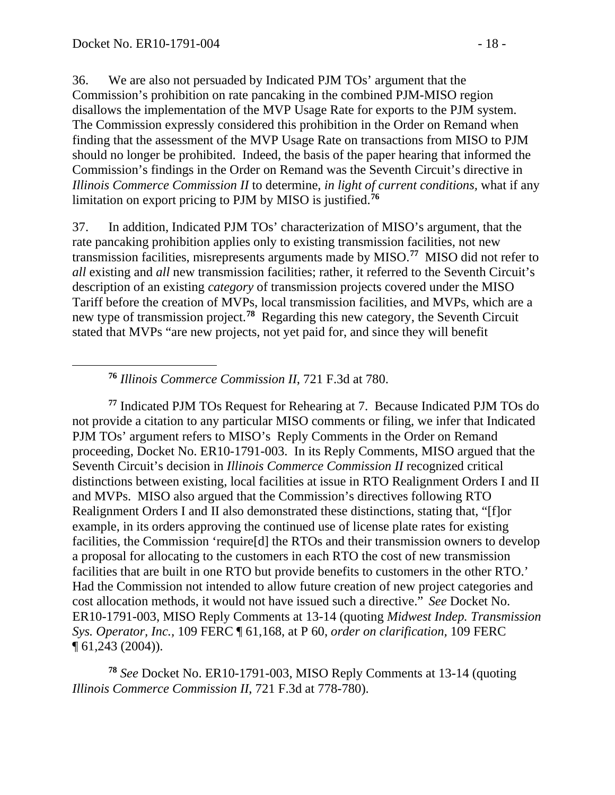36. We are also not persuaded by Indicated PJM TOs' argument that the Commission's prohibition on rate pancaking in the combined PJM-MISO region disallows the implementation of the MVP Usage Rate for exports to the PJM system. The Commission expressly considered this prohibition in the Order on Remand when finding that the assessment of the MVP Usage Rate on transactions from MISO to PJM should no longer be prohibited. Indeed, the basis of the paper hearing that informed the Commission's findings in the Order on Remand was the Seventh Circuit's directive in *Illinois Commerce Commission II* to determine, *in light of current conditions,* what if any limitation on export pricing to PJM by MISO is justified. **[76](#page-17-0)**

37. In addition, Indicated PJM TOs' characterization of MISO's argument, that the rate pancaking prohibition applies only to existing transmission facilities, not new transmission facilities, misrepresents arguments made by MISO.**[77](#page-17-1)** MISO did not refer to *all* existing and *all* new transmission facilities; rather, it referred to the Seventh Circuit's description of an existing *category* of transmission projects covered under the MISO Tariff before the creation of MVPs, local transmission facilities, and MVPs, which are a new type of transmission project.**[78](#page-17-2)** Regarding this new category, the Seventh Circuit stated that MVPs "are new projects, not yet paid for, and since they will benefit

**<sup>76</sup>** *Illinois Commerce Commission II*, 721 F.3d at 780.

<span id="page-17-1"></span><span id="page-17-0"></span>**<sup>77</sup>** Indicated PJM TOs Request for Rehearing at 7. Because Indicated PJM TOs do not provide a citation to any particular MISO comments or filing, we infer that Indicated PJM TOs' argument refers to MISO's Reply Comments in the Order on Remand proceeding, Docket No. ER10-1791-003. In its Reply Comments, MISO argued that the Seventh Circuit's decision in *Illinois Commerce Commission II* recognized critical distinctions between existing, local facilities at issue in RTO Realignment Orders I and II and MVPs. MISO also argued that the Commission's directives following RTO Realignment Orders I and II also demonstrated these distinctions, stating that, "[f]or example, in its orders approving the continued use of license plate rates for existing facilities, the Commission 'require<sup>[d]</sup> the RTOs and their transmission owners to develop a proposal for allocating to the customers in each RTO the cost of new transmission facilities that are built in one RTO but provide benefits to customers in the other RTO.' Had the Commission not intended to allow future creation of new project categories and cost allocation methods, it would not have issued such a directive." *See* Docket No. ER10-1791-003, MISO Reply Comments at 13-14 (quoting *Midwest Indep. Transmission Sys. Operator, Inc.,* 109 FERC ¶ 61,168, at P 60, *order on clarification,* 109 FERC ¶ 61,243 (2004)).

<span id="page-17-2"></span>**<sup>78</sup>** *See* Docket No. ER10-1791-003, MISO Reply Comments at 13-14 (quoting *Illinois Commerce Commission II*, 721 F.3d at 778-780).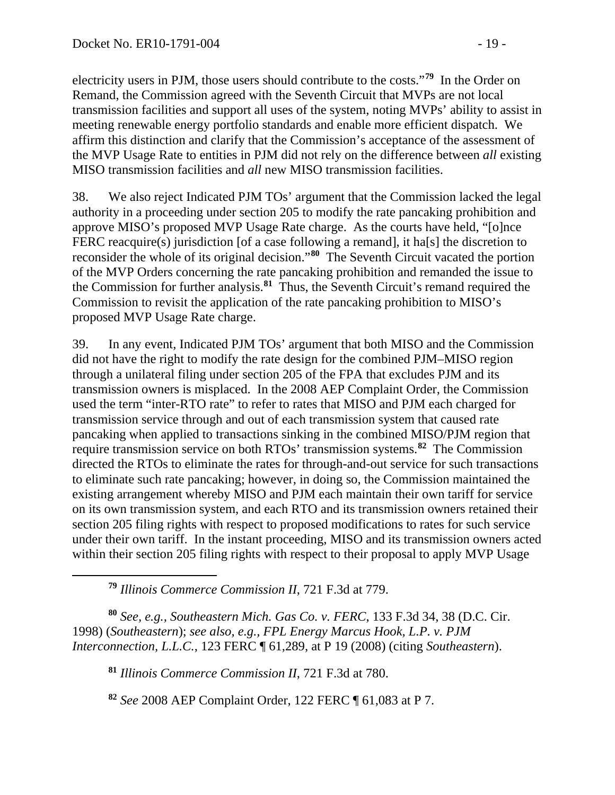electricity users in PJM, those users should contribute to the costs."**[79](#page-18-0)** In the Order on Remand, the Commission agreed with the Seventh Circuit that MVPs are not local transmission facilities and support all uses of the system, noting MVPs' ability to assist in meeting renewable energy portfolio standards and enable more efficient dispatch. We affirm this distinction and clarify that the Commission's acceptance of the assessment of the MVP Usage Rate to entities in PJM did not rely on the difference between *all* existing MISO transmission facilities and *all* new MISO transmission facilities.

38. We also reject Indicated PJM TOs' argument that the Commission lacked the legal authority in a proceeding under section 205 to modify the rate pancaking prohibition and approve MISO's proposed MVP Usage Rate charge. As the courts have held, "[o]nce FERC reacquire(s) jurisdiction [of a case following a remand], it ha[s] the discretion to reconsider the whole of its original decision."**[80](#page-18-1)** The Seventh Circuit vacated the portion of the MVP Orders concerning the rate pancaking prohibition and remanded the issue to the Commission for further analysis.**[81](#page-18-2)** Thus, the Seventh Circuit's remand required the Commission to revisit the application of the rate pancaking prohibition to MISO's proposed MVP Usage Rate charge.

39. In any event, Indicated PJM TOs' argument that both MISO and the Commission did not have the right to modify the rate design for the combined PJM–MISO region through a unilateral filing under section 205 of the FPA that excludes PJM and its transmission owners is misplaced. In the 2008 AEP Complaint Order, the Commission used the term "inter-RTO rate" to refer to rates that MISO and PJM each charged for transmission service through and out of each transmission system that caused rate pancaking when applied to transactions sinking in the combined MISO/PJM region that require transmission service on both RTOs' transmission systems. **[82](#page-18-3)** The Commission directed the RTOs to eliminate the rates for through-and-out service for such transactions to eliminate such rate pancaking; however, in doing so, the Commission maintained the existing arrangement whereby MISO and PJM each maintain their own tariff for service on its own transmission system, and each RTO and its transmission owners retained their section 205 filing rights with respect to proposed modifications to rates for such service under their own tariff. In the instant proceeding, MISO and its transmission owners acted within their section 205 filing rights with respect to their proposal to apply MVP Usage

**<sup>79</sup>** *Illinois Commerce Commission II*, 721 F.3d at 779.

<span id="page-18-0"></span> $\overline{a}$ 

<span id="page-18-2"></span><span id="page-18-1"></span>**<sup>80</sup>** *See, e.g., Southeastern Mich. Gas Co. v. FERC*, 133 F.3d 34, 38 (D.C. Cir. 1998) (*Southeastern*); *see also, e.g., FPL Energy Marcus Hook, L.P. v. PJM Interconnection, L.L.C.*, 123 FERC ¶ 61,289, at P 19 (2008) (citing *Southeastern*).

**<sup>81</sup>** *Illinois Commerce Commission II*, 721 F.3d at 780.

<span id="page-18-3"></span>**<sup>82</sup>** *See* 2008 AEP Complaint Order, 122 FERC ¶ 61,083 at P 7.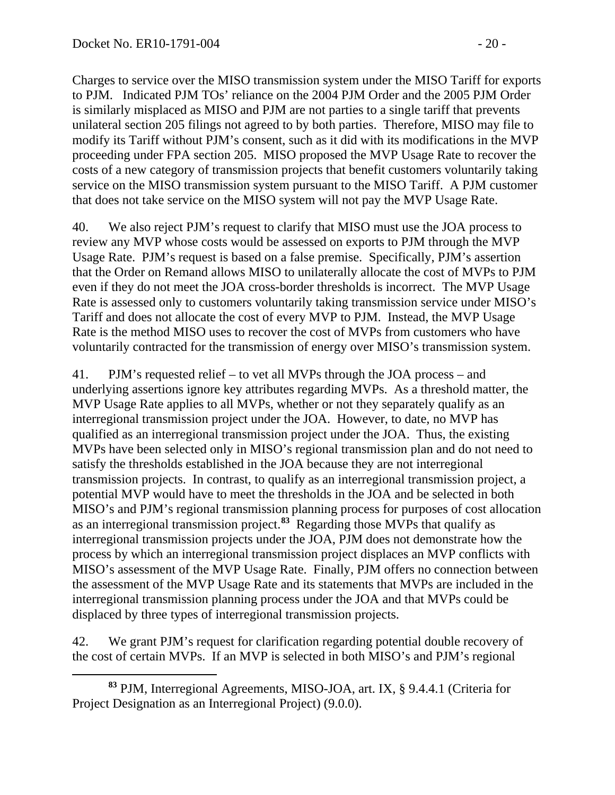Charges to service over the MISO transmission system under the MISO Tariff for exports to PJM. Indicated PJM TOs' reliance on the 2004 PJM Order and the 2005 PJM Order is similarly misplaced as MISO and PJM are not parties to a single tariff that prevents unilateral section 205 filings not agreed to by both parties. Therefore, MISO may file to modify its Tariff without PJM's consent, such as it did with its modifications in the MVP proceeding under FPA section 205. MISO proposed the MVP Usage Rate to recover the costs of a new category of transmission projects that benefit customers voluntarily taking service on the MISO transmission system pursuant to the MISO Tariff. A PJM customer that does not take service on the MISO system will not pay the MVP Usage Rate.

40. We also reject PJM's request to clarify that MISO must use the JOA process to review any MVP whose costs would be assessed on exports to PJM through the MVP Usage Rate. PJM's request is based on a false premise. Specifically, PJM's assertion that the Order on Remand allows MISO to unilaterally allocate the cost of MVPs to PJM even if they do not meet the JOA cross-border thresholds is incorrect. The MVP Usage Rate is assessed only to customers voluntarily taking transmission service under MISO's Tariff and does not allocate the cost of every MVP to PJM. Instead, the MVP Usage Rate is the method MISO uses to recover the cost of MVPs from customers who have voluntarily contracted for the transmission of energy over MISO's transmission system.

41. PJM's requested relief – to vet all MVPs through the JOA process – and underlying assertions ignore key attributes regarding MVPs. As a threshold matter, the MVP Usage Rate applies to all MVPs, whether or not they separately qualify as an interregional transmission project under the JOA. However, to date, no MVP has qualified as an interregional transmission project under the JOA. Thus, the existing MVPs have been selected only in MISO's regional transmission plan and do not need to satisfy the thresholds established in the JOA because they are not interregional transmission projects. In contrast, to qualify as an interregional transmission project, a potential MVP would have to meet the thresholds in the JOA and be selected in both MISO's and PJM's regional transmission planning process for purposes of cost allocation as an interregional transmission project. **[83](#page-19-0)** Regarding those MVPs that qualify as interregional transmission projects under the JOA, PJM does not demonstrate how the process by which an interregional transmission project displaces an MVP conflicts with MISO's assessment of the MVP Usage Rate. Finally, PJM offers no connection between the assessment of the MVP Usage Rate and its statements that MVPs are included in the interregional transmission planning process under the JOA and that MVPs could be displaced by three types of interregional transmission projects.

42. We grant PJM's request for clarification regarding potential double recovery of the cost of certain MVPs. If an MVP is selected in both MISO's and PJM's regional

<span id="page-19-0"></span> $\overline{a}$ **<sup>83</sup>** PJM, Interregional Agreements, MISO-JOA, art. IX, § 9.4.4.1 (Criteria for Project Designation as an Interregional Project) (9.0.0).